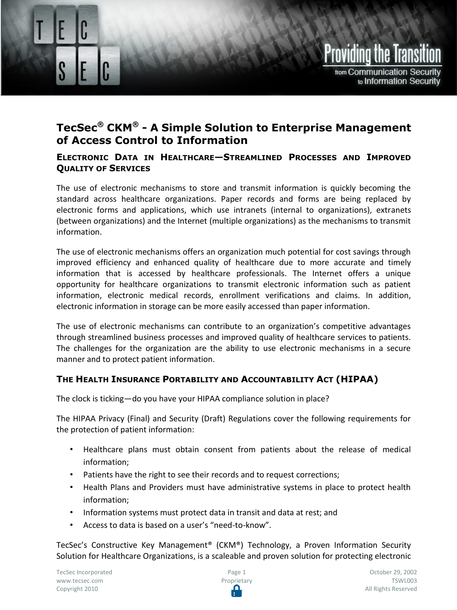## Providing the Transit from Communication Security to Information Security

### **TecSec® CKM® - A Simple Solution to Enterprise Management of Access Control to Information**

#### **ELECTRONIC DATA IN HEALTHCARE—STREAMLINED PROCESSES AND IMPROVED QUALITY OF SERVICES**

The use of electronic mechanisms to store and transmit information is quickly becoming the standard across healthcare organizations. Paper records and forms are being replaced by electronic forms and applications, which use intranets (internal to organizations), extranets (between organizations) and the Internet (multiple organizations) as the mechanisms to transmit information.

The use of electronic mechanisms offers an organization much potential for cost savings through improved efficiency and enhanced quality of healthcare due to more accurate and timely information that is accessed by healthcare professionals. The Internet offers a unique opportunity for healthcare organizations to transmit electronic information such as patient information, electronic medical records, enrollment verifications and claims. In addition, electronic information in storage can be more easily accessed than paper information.

The use of electronic mechanisms can contribute to an organization's competitive advantages through streamlined business processes and improved quality of healthcare services to patients. The challenges for the organization are the ability to use electronic mechanisms in a secure manner and to protect patient information.

#### **THE HEALTH INSURANCE PORTABILITY AND ACCOUNTABILITY ACT (HIPAA)**

The clock is ticking—do you have your HIPAA compliance solution in place?

The HIPAA Privacy (Final) and Security (Draft) Regulations cover the following requirements for the protection of patient information:

- Healthcare plans must obtain consent from patients about the release of medical information;
- Patients have the right to see their records and to request corrections;
- Health Plans and Providers must have administrative systems in place to protect health information;
- Information systems must protect data in transit and data at rest; and
- Access to data is based on a user's "need-to-know".

TecSec's Constructive Key Management® (CKM®) Technology, a Proven Information Security Solution for Healthcare Organizations, is a scaleable and proven solution for protecting electronic

Securing Electronic Data In Healthcare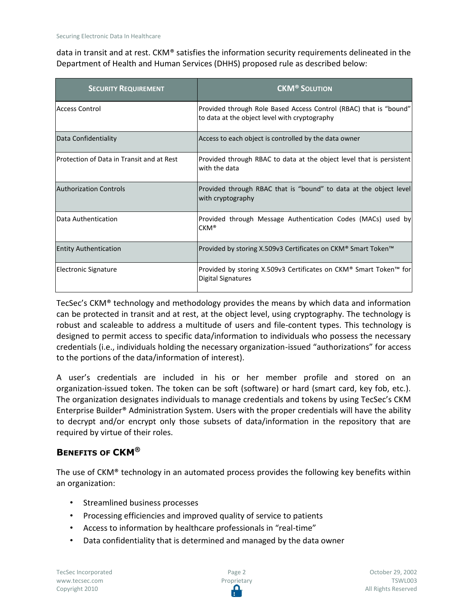data in transit and at rest. CKM® satisfies the information security requirements delineated in the Department of Health and Human Services (DHHS) proposed rule as described below:

| <b>SECURITY REQUIREMENT</b>               | <b>CKM<sup>®</sup> SOLUTION</b>                                                                                    |
|-------------------------------------------|--------------------------------------------------------------------------------------------------------------------|
| Access Control                            | Provided through Role Based Access Control (RBAC) that is "bound"<br>to data at the object level with cryptography |
| Data Confidentiality                      | Access to each object is controlled by the data owner                                                              |
| Protection of Data in Transit and at Rest | Provided through RBAC to data at the object level that is persistent<br>with the data                              |
| <b>Authorization Controls</b>             | Provided through RBAC that is "bound" to data at the object level<br>with cryptography                             |
| Data Authentication                       | Provided through Message Authentication Codes (MACs) used by<br>$CKM^*$                                            |
| <b>Entity Authentication</b>              | Provided by storing X.509v3 Certificates on CKM® Smart Token™                                                      |
| Electronic Signature                      | Provided by storing X.509v3 Certificates on CKM® Smart Token™ for<br><b>Digital Signatures</b>                     |

TecSec's CKM® technology and methodology provides the means by which data and information can be protected in transit and at rest, at the object level, using cryptography. The technology is robust and scaleable to address a multitude of users and file-content types. This technology is designed to permit access to specific data/information to individuals who possess the necessary credentials (i.e., individuals holding the necessary organization-issued "authorizations" for access to the portions of the data/information of interest).

A user's credentials are included in his or her member profile and stored on an organization-issued token. The token can be soft (software) or hard (smart card, key fob, etc.). The organization designates individuals to manage credentials and tokens by using TecSec's CKM Enterprise Builder® Administration System. Users with the proper credentials will have the ability to decrypt and/or encrypt only those subsets of data/information in the repository that are required by virtue of their roles.

#### **BENEFITS OF CKM®**

The use of CKM® technology in an automated process provides the following key benefits within an organization:

- Streamlined business processes
- Processing efficiencies and improved quality of service to patients
- Access to information by healthcare professionals in "real-time"
- Data confidentiality that is determined and managed by the data owner